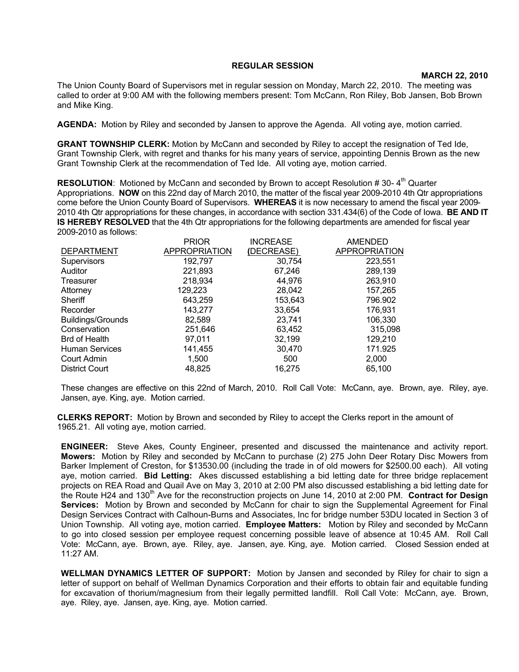## **REGULAR SESSION**

## **MARCH 22, 2010**

The Union County Board of Supervisors met in regular session on Monday, March 22, 2010. The meeting was called to order at 9:00 AM with the following members present: Tom McCann, Ron Riley, Bob Jansen, Bob Brown and Mike King.

**AGENDA:** Motion by Riley and seconded by Jansen to approve the Agenda. All voting aye, motion carried.

**GRANT TOWNSHIP CLERK:** Motion by McCann and seconded by Riley to accept the resignation of Ted Ide, Grant Township Clerk, with regret and thanks for his many years of service, appointing Dennis Brown as the new Grant Township Clerk at the recommendation of Ted Ide. All voting aye, motion carried.

**RESOLUTION:** Motioned by McCann and seconded by Brown to accept Resolution #30-4<sup>th</sup> Quarter Appropriations. **NOW** on this 22nd day of March 2010, the matter of the fiscal year 2009-2010 4th Qtr appropriations come before the Union County Board of Supervisors. **WHEREAS** it is now necessary to amend the fiscal year 2009- 2010 4th Qtr appropriations for these changes, in accordance with section 331.434(6) of the Code of Iowa. **BE AND IT IS HEREBY RESOLVED** that the 4th Qtr appropriations for the following departments are amended for fiscal year 2009-2010 as follows:

|                          | <b>PRIOR</b>  | <b>INCREASE</b> | <b>AMENDED</b>       |
|--------------------------|---------------|-----------------|----------------------|
| <b>DEPARTMENT</b>        | APPROPRIATION | (DECREASE)      | <b>APPROPRIATION</b> |
| Supervisors              | 192,797       | 30,754          | 223,551              |
| Auditor                  | 221,893       | 67,246          | 289,139              |
| Treasurer                | 218,934       | 44,976          | 263,910              |
| Attorney                 | 129,223       | 28,042          | 157,265              |
| Sheriff                  | 643,259       | 153,643         | 796.902              |
| Recorder                 | 143,277       | 33,654          | 176,931              |
| <b>Buildings/Grounds</b> | 82,589        | 23,741          | 106,330              |
| Conservation             | 251,646       | 63.452          | 315,098              |
| <b>Brd of Health</b>     | 97,011        | 32,199          | 129,210              |
| <b>Human Services</b>    | 141,455       | 30,470          | 171.925              |
| Court Admin              | 1,500         | 500             | 2,000                |
| <b>District Court</b>    | 48.825        | 16.275          | 65,100               |

These changes are effective on this 22nd of March, 2010. Roll Call Vote: McCann, aye. Brown, aye. Riley, aye. Jansen, aye. King, aye. Motion carried.

**CLERKS REPORT:** Motion by Brown and seconded by Riley to accept the Clerks report in the amount of 1965.21. All voting aye, motion carried.

**ENGINEER:** Steve Akes, County Engineer, presented and discussed the maintenance and activity report. **Mowers:** Motion by Riley and seconded by McCann to purchase (2) 275 John Deer Rotary Disc Mowers from Barker Implement of Creston, for \$13530.00 (including the trade in of old mowers for \$2500.00 each). All voting aye, motion carried. **Bid Letting:** Akes discussed establishing a bid letting date for three bridge replacement projects on REA Road and Quail Ave on May 3, 2010 at 2:00 PM also discussed establishing a bid letting date for the Route H24 and 130<sup>th</sup> Ave for the reconstruction projects on June 14, 2010 at 2:00 PM. **Contract for Design Services:** Motion by Brown and seconded by McCann for chair to sign the Supplemental Agreement for Final Design Services Contract with Calhoun-Burns and Associates, Inc for bridge number 53DU located in Section 3 of Union Township. All voting aye, motion carried. **Employee Matters:** Motion by Riley and seconded by McCann to go into closed session per employee request concerning possible leave of absence at 10:45 AM. Roll Call Vote: McCann, aye. Brown, aye. Riley, aye. Jansen, aye. King, aye. Motion carried. Closed Session ended at 11:27 AM.

**WELLMAN DYNAMICS LETTER OF SUPPORT:** Motion by Jansen and seconded by Riley for chair to sign a letter of support on behalf of Wellman Dynamics Corporation and their efforts to obtain fair and equitable funding for excavation of thorium/magnesium from their legally permitted landfill. Roll Call Vote: McCann, aye. Brown, aye. Riley, aye. Jansen, aye. King, aye. Motion carried.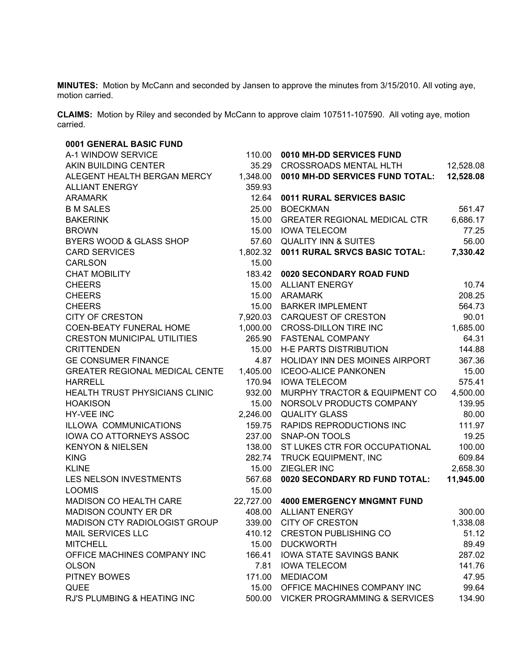**MINUTES:** Motion by McCann and seconded by Jansen to approve the minutes from 3/15/2010. All voting aye, motion carried.

**CLAIMS:** Motion by Riley and seconded by McCann to approve claim 107511-107590. All voting aye, motion carried.

| 0001 GENERAL BASIC FUND               |           |                                          |           |
|---------------------------------------|-----------|------------------------------------------|-----------|
| A-1 WINDOW SERVICE                    | 110.00    | 0010 MH-DD SERVICES FUND                 |           |
| AKIN BUILDING CENTER                  | 35.29     | <b>CROSSROADS MENTAL HLTH</b>            | 12,528.08 |
| ALEGENT HEALTH BERGAN MERCY           | 1,348.00  | 0010 MH-DD SERVICES FUND TOTAL:          | 12,528.08 |
| <b>ALLIANT ENERGY</b>                 | 359.93    |                                          |           |
| <b>ARAMARK</b>                        | 12.64     | 0011 RURAL SERVICES BASIC                |           |
| <b>B M SALES</b>                      | 25.00     | <b>BOECKMAN</b>                          | 561.47    |
| <b>BAKERINK</b>                       | 15.00     | <b>GREATER REGIONAL MEDICAL CTR</b>      | 6,686.17  |
| <b>BROWN</b>                          | 15.00     | <b>IOWA TELECOM</b>                      | 77.25     |
| BYERS WOOD & GLASS SHOP               | 57.60     | <b>QUALITY INN &amp; SUITES</b>          | 56.00     |
| <b>CARD SERVICES</b>                  | 1,802.32  | 0011 RURAL SRVCS BASIC TOTAL:            | 7,330.42  |
| <b>CARLSON</b>                        | 15.00     |                                          |           |
| <b>CHAT MOBILITY</b>                  | 183.42    | 0020 SECONDARY ROAD FUND                 |           |
| <b>CHEERS</b>                         | 15.00     | <b>ALLIANT ENERGY</b>                    | 10.74     |
| <b>CHEERS</b>                         | 15.00     | ARAMARK                                  | 208.25    |
| <b>CHEERS</b>                         | 15.00     | <b>BARKER IMPLEMENT</b>                  | 564.73    |
| <b>CITY OF CRESTON</b>                | 7,920.03  | <b>CARQUEST OF CRESTON</b>               | 90.01     |
| <b>COEN-BEATY FUNERAL HOME</b>        | 1,000.00  | <b>CROSS-DILLON TIRE INC</b>             | 1,685.00  |
| <b>CRESTON MUNICIPAL UTILITIES</b>    | 265.90    | <b>FASTENAL COMPANY</b>                  | 64.31     |
| <b>CRITTENDEN</b>                     | 15.00     | H-E PARTS DISTRIBUTION                   | 144.88    |
| <b>GE CONSUMER FINANCE</b>            | 4.87      | HOLIDAY INN DES MOINES AIRPORT           | 367.36    |
| <b>GREATER REGIONAL MEDICAL CENTE</b> | 1,405.00  | <b>ICEOO-ALICE PANKONEN</b>              | 15.00     |
| <b>HARRELL</b>                        | 170.94    | <b>IOWA TELECOM</b>                      | 575.41    |
| HEALTH TRUST PHYSICIANS CLINIC        | 932.00    | MURPHY TRACTOR & EQUIPMENT CO            | 4,500.00  |
| <b>HOAKISON</b>                       | 15.00     | NORSOLV PRODUCTS COMPANY                 | 139.95    |
| <b>HY-VEE INC</b>                     | 2,246.00  | <b>QUALITY GLASS</b>                     | 80.00     |
| ILLOWA COMMUNICATIONS                 | 159.75    | RAPIDS REPRODUCTIONS INC                 | 111.97    |
| IOWA CO ATTORNEYS ASSOC               | 237.00    | <b>SNAP-ON TOOLS</b>                     | 19.25     |
| <b>KENYON &amp; NIELSEN</b>           | 138.00    | ST LUKES CTR FOR OCCUPATIONAL            | 100.00    |
| <b>KING</b>                           | 282.74    | TRUCK EQUIPMENT, INC                     | 609.84    |
| <b>KLINE</b>                          | 15.00     | <b>ZIEGLER INC</b>                       | 2,658.30  |
| LES NELSON INVESTMENTS                | 567.68    | 0020 SECONDARY RD FUND TOTAL:            | 11,945.00 |
| <b>LOOMIS</b>                         | 15.00     |                                          |           |
| MADISON CO HEALTH CARE                | 22,727.00 | <b>4000 EMERGENCY MNGMNT FUND</b>        |           |
| <b>MADISON COUNTY ER DR</b>           | 408.00    | <b>ALLIANT ENERGY</b>                    | 300.00    |
| MADISON CTY RADIOLOGIST GROUP         | 339.00    | CITY OF CRESTON                          | 1,338.08  |
| <b>MAIL SERVICES LLC</b>              | 410.12    | <b>CRESTON PUBLISHING CO</b>             | 51.12     |
| <b>MITCHELL</b>                       | 15.00     | <b>DUCKWORTH</b>                         | 89.49     |
| OFFICE MACHINES COMPANY INC           | 166.41    | IOWA STATE SAVINGS BANK                  | 287.02    |
| <b>OLSON</b>                          | 7.81      | <b>IOWA TELECOM</b>                      | 141.76    |
| <b>PITNEY BOWES</b>                   | 171.00    | <b>MEDIACOM</b>                          | 47.95     |
| <b>QUEE</b>                           | 15.00     | OFFICE MACHINES COMPANY INC              | 99.64     |
| RJ'S PLUMBING & HEATING INC           | 500.00    | <b>VICKER PROGRAMMING &amp; SERVICES</b> | 134.90    |